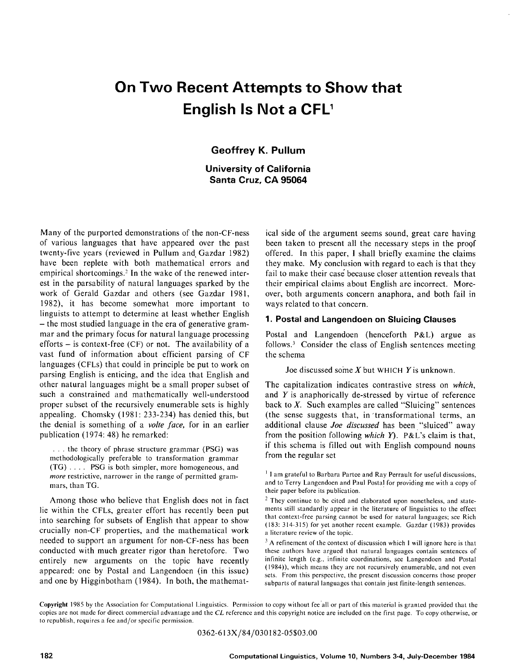# **On Two Recent Attempts to Show that English Is Not a CFL'**

# **Geoffrey K. Pullum**

# **University of California Santa Cruz, CA 95064**

Many of the purported demonstrations of the non-CF-ness of various languages that have appeared over the past twenty-five years (reviewed in Pullum and Gazdar 1982) have been replete with both mathematical errors and empirical shortcomings? In the wake of the renewed interest in the parsability of natural languages sparked by the work of Gerald Gazdar and others (see Gazdar 1981, 1982), it has become somewhat more important to linguists to attempt to determine at least whether English - the most studied language in the era of generative grammar and the primary focus for natural language processing efforts  $-$  is context-free (CF) or not. The availability of a vast fund of information about efficient parsing of CF languages (CFLs) that could in principle be put to work on parsing English is enticing, and the idea that English and other natural languages might be a small proper subset of such a constrained and mathematically well-understood proper subset of the recursively enumerable sets is highly appealing. Chomsky (1981: 233-234) has denied this, but the denial is something of a *volte face,* for in an earlier publication (1974: 48) he remarked:

... the theory of phrase structure grammar (PSG) was methodologically preferable to transformation grammar (TG) .... PSG is both simpler, more homogeneous, and *more* restrictive, narrower in the range of permitted grammars, than TG.

Among those who believe that English does not in fact lie within the CFLs, greater effort has recently been put into searching for subsets of English that appear to show crucially non-CF properties, and the mathematical work needed to support an argument for non-CF-ness has been conducted with much greater rigor than heretofore. Two entirely new arguments on the topic have recently appeared: one by Postal and Langendoen (in this issue) and one by Higginbotham (1984). In both, the mathematical side of the argument seems sound, great care having been taken to present all the necessary steps in the proof offered. In this paper, I shall briefly examine the claims they make. My conclusion with regard to each is that they fail to make their case because closer attention reveals that their empirical claims about English are incorrect. Moreover, both arguments concern anaphora, and both fail in ways related to that concern.

#### **1. Postal and kangendoen on Sluicing Clauses**

Postal and Langendoen (henceforth P&L) argue as follows? Consider the class of English sentences meeting the schema

Joe discussed some  $X$  but WHICH  $Y$  is unknown.

The capitalization indicates contrastive stress on *which,*  and Y is anaphorically de-stressed by virtue of reference back to  $X$ . Such examples are called "Sluicing" sentences (the sense suggests that, in transformational terms, an additional clause *Joe discussed* has been "sluiced" away from the position following *which Y).* P&L's claim is that, if this schema is filled out with English compound nouns from the regular set

**Copyright** 1985 by the Association for Computational Linguistics. Permission to copy without fee'all or part of this material is granted provided that the copies are not made for direct commercial advantage and the *CL* reference and this copyright notice are included on the first page. To copy otherwise, or to republish, requires a fee and/or specific permission.

0362-613X/84/030182-05503.00

<sup>&</sup>lt;sup>1</sup> I am grateful to Barbara Partee and Ray Perrault for useful discussions, and to Terry Langendoen and Paul Postal for providing me with a copy of their paper before its publication.

<sup>&</sup>lt;sup>2</sup> They continue to be cited and elaborated upon nonetheless, and statements still standardly appear in the literature of linguistics to the effect that context-free parsing cannot be used for natural languages; see Rich (183: 314-315) for yet another recent example. Gazdar (1983) provides a literature review of the topic.

 $3$  A refinement of the context of discussion which I will ignore here is that these authors have argued that natural languages contain sentences of infinite length (e.g., infinite coordinations, see Langendocn and Postal (1984)), which means they are not recursively enumerable, and not even sets. From this perspective, the present discussion concerns those proper subparts of natural languages that contain just finite-length sentences.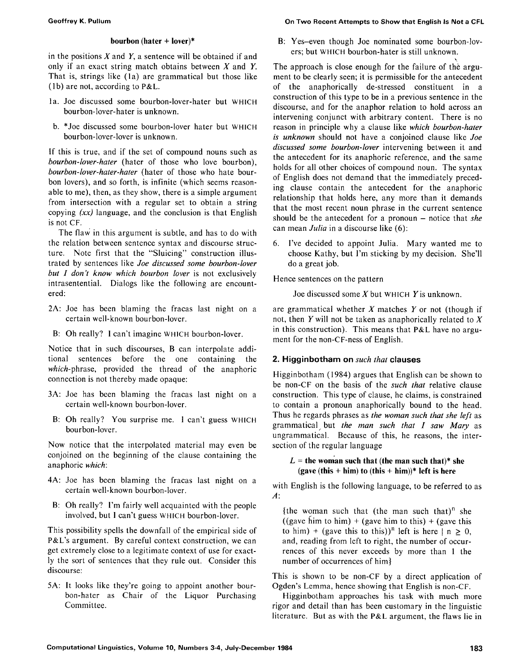#### **bourbon (hater + lover)\***

in the positions  $X$  and  $Y$ , a sentence will be obtained if and only if an exact string match obtains between  $X$  and  $Y$ . That is, strings like (la) are grammatical but those like (lb) are not, according to P&L.

- la. Joe discussed some bourbon-lover-hater but WHICH bourbon-lover-hater is unknown.
- b. \*Joe discussed some bourbon-lover hater but WHICH bourbon-lover-lover is unknown.

If this is true, and if the set of compound nouns such as *bourbon-lover-hater* (hater of those who love bourbon), *bourbon-lover-hater-hater* (hater of those who hate bourbon lovers), and so forth, is infinite (which seems reasonable to me), then, as they show, there is a simple argument from intersection with a regular set to obtain a string copying *(xx)* language, and the conclusion is that English is not CF.

The flaw in this argument is subtle, and has to do with the relation between sentence syntax and discourse structure. Note first that the "Sluicing" construction illustrated by sentences like *Joe discussed some bourbon-lover but I don't know which bourbon lover* is not exclusively intrasentential. Dialogs like the following are encountered:

- 2A: Joe has been blaming the fracas last night on a certain well-known bourbon-lover.
- B: Oh really? I can't imagine WHICH bourbon-lover.

Notice that in such discourses, B can interpolate additional sentences before the one containing the *which-phrase,* provided the thread of the anaphoric connection is not thereby made opaque:

- 3A: Joe has been blaming the fracas last night on a certain well-known bourbon-lover.
- B: Oh really? You surprise me. I can't guess WHICH bourbon-lover.

Now notice that the interpolated material may even be conjoined on the beginning of the clause containing the anaphoric *which:* 

- 4A: Joe has been blaming the fracas last night on a certain well-known bourbon-lover.
- B: Oh really? I'm fairly well acquainted with the people involved, but 1 can't guess WHICH bourbon-lover.

This possibility spells the downfall of the empirical side of P&L's argument. By careful context construction, we can get extremely close to a legitimate context of use for exactly the sort of sentences that they rule out. Consider this discourse:

5A: It looks like they're going to appoint another bourbon-hater as Chair of the Liquor Purchasing Committee.

#### **Geoffrey K. Pullum On Two Recent Attempts to Show that English Is Not a CFL**

B: Yes-even though Joe nominated some bourbon-lovers; but WHICH bourbon-hater is still unknown.

The approach is close enough for the failure of the argument to be clearly seen; it is permissible for the antecedent of the anaphorically de-stressed constituent in a construction of this type to be in a previous sentence in the discourse, and for the anaphor relation to hold across an intervening conjunct with arbitrary content. There is no reason in principle why a clause like *which bourbon-hater is unknown* should not have a conjoined clause like *Joe discussed some bourbon-lover* intervening between it and the antecedent for its anaphoric reference, and the same holds for all other choices of compound noun. The syntax of English does not demand that the immediately preceding clause contain the antecedent for the anaphoric relationship that holds here, any more than it demands that the most recent noun phrase in the current sentence should be the antecedent for a pronoun – notice that *she* can mean *Julia* in a discourse like (6):

6. I've decided to appoint Julia. Mary wanted me to choose Kathy, but I'm sticking by my decision. She'll do a great job.

Hence sentences on the pattern

Joe discussed some  $X$  but WHICH  $Y$  is unknown.

are grammatical whether  $X$  matches  $Y$  or not (though if not, then Y will not be taken as anaphorically related to  $X$ in this construction). This means that P&L have no argument for the non-CF-ness of English.

# **2. Higginbotham on** *such that* **clauses**

Higginbotham (1984) argues that English can be shown to be non-CF on the basis of the *such that* relative clause construction. This type of clause, he claims, is constrained to contain a pronoun anaphorically bound to the head. Thus he regards phrases as *the woman such that she left* as grammatical but *the man such that I saw Mary* as ungrammatical. Because of this, he reasons, the intersection of the regular language

## $L =$  the woman such that (the man such that)\* she **(gave (this + him) to (this + him))\* left is here**

with English is the following language, to be referred to as A:

{the woman such that (the man such that)<sup>n</sup> she ((gave him to him) + (gave him to this) + (gave this) to him) + (gave this to this))<sup>n</sup> left is here  $| n \ge 0$ , and, reading from left to right, the number of occurrences of this never exceeds by more than 1 the number of occurrences of him}

This is shown to be non-CF by a direct application of Ogden's Lemma, hence showing that English is non-CF.

Higginbotham approaches his task with much more rigor and detail than has been customary in the linguistic literature. But as with the P&L argument, the flaws lie in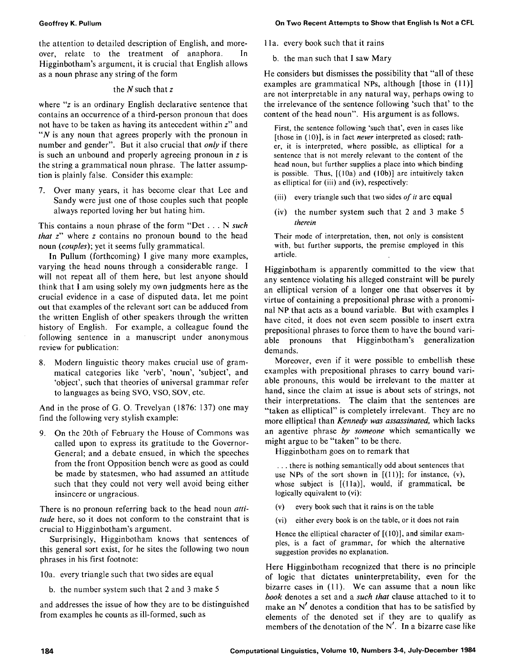the attention to detailed description of English, and moreover, relate to the treatment of anaphora. In Higginbotham's argument, it is crucial that English allows as a noun phrase any string of the form

#### the  $N$  such that  $z$

where "z is an ordinary English declarative sentence that contains an occurrence of a third-person pronoun that does not have to be taken as having its antecedent within z" and " $N$  is any noun that agrees properly with the pronoun in number and gender". But it also crucial that *only* if there is such an unbound and properly agreeing pronoun in  $z$  is the string a grammatical noun phrase. The latter assumption is plainly false. Consider this example:

7. Over many years, it has become clear that Lee and Sandy were just one of those couples such that people always reported loving her but hating him.

This contains a noun phrase of the form "Det... N *such that z"* where z contains no pronoun bound to the head noun *(couples);* yet it seems fully grammatical.

In Pullum (forthcoming) I give many more examples, varying the head nouns through a considerable range. I will not repeat all of them here, but lest anyone should think that I am using solely my own judgments here as the crucial evidence in a case of disputed data, let me point out that examples of the relevant sort can be adduced from the written English of other speakers through the written history of English. For example, a colleague found the following sentence in a manuscript under anonymous review for publication:

8. Modern linguistic theory makes crucial use of grammatical categories like 'verb', 'noun', 'subject', and 'object', such that theories of universal grammar refer to languages as being SVO, VSO, SOV, etc.

And in the prose of G. O. Trevelyan (1876: 137) one may find the following very stylish example:

9. On the 20th of February the House of Commons was called upon to express its gratitude to the Governor-General; and a debate ensued, in which the speeches from the front Opposition bench were as good as could be made by statesmen, who had assumed an attitude such that they could not very well avoid being either insincere or ungracious.

There is no pronoun referring back to the head noun *attitude* here, so it does not conform to the constraint that is crucial to Higginbotham's argument.

Surprisingly, Higginbotham knows that sentences of this general sort exist, for he sites the following two noun phrases in his first footnote:

10a. every triangle such that two sides are equal

b. the number system such that 2 and 3 make 5

and addresses the issue of how they are to be distinguished from examples he counts as ill-formed, such as

1 la. every book such that it rains

b. the man such that I saw Mary

He considers but dismisses the possibility that "all of these examples are grammatical NPs, although [those in (11)] are not interpretable in any natural way, perhaps owing to the irrelevance of the sentence following 'such that' to the content of the head noun". His argument is as follows.

First, the sentence following 'such that', even in cases like [those in (10)], is in fact *never* interpreted as closed; rather, it is interpreted, where possible, as elliptical for a sentence that is not merely relevant to the content of the head noun, but further supplies a place into which binding is possible. Thus,  $[(10a)$  and  $(10b)]$  are intuitively taken as elliptical for (iii) and (iv), respectively:

- (iii) every triangle such that two sides *of it* are equal
- (iv) the number system such that 2 and 3 make 5 *therein*

Their mode of interpretation, then, not only is consistent with, but further supports, the premise employed in this article.

Higginbotham is apparently committed to the view that any sentence violating his alleged constraint will be purely an elliptical version of a longer one that observes it by virtue of containing a prepositional phrase with a pronominal NP that acts as a bound variable. But with examples l have cited, it does not even seem possible to insert extra prepositional phrases to force them to have the bound variable pronouns that Higginbotham's generalization demands.

Moreover, even if it were possible to embellish these examples with prepositional phrases to carry bound variable pronouns, this would be irrelevant to the matter at hand, since the claim at issue is about sets of strings, not their interpretations. The claim that the sentences are "taken as elliptical" is completely irrelevant. They are no more elliptical than *Kennedy was assassinated,* which lacks an agentive phrase *by someone* which semantically we might argue to be "taken" to be there.

Higginbotham goes on to remark that

**•..** there is nothing semantically odd about sentences that use NPs of the sort shown in  $[(11)]$ ; for instance,  $(v)$ , whose subject is  $[(11a)]$ , would, if grammatical, be logically equivalent to (vi):

- (v) every book such that it rains is on the table
- (vi) either every book is on the table, or it does not rain

Hence the elliptical character of  $[(10)]$ , and similar examples, is a fact of grammar, for which the alternative suggestion provides no explanation.

Here Higginbotham recognized that there is no principle of logic that dictates uninterpretability, even for the bizarre cases in (11). We can assume that a noun like *book* denotes a set and a *such that* clause attached to it to make an  $N'$  denotes a condition that has to be satisfied by elements of the denoted set if they are to qualify as members of the denotation of the  $N'$ . In a bizarre case like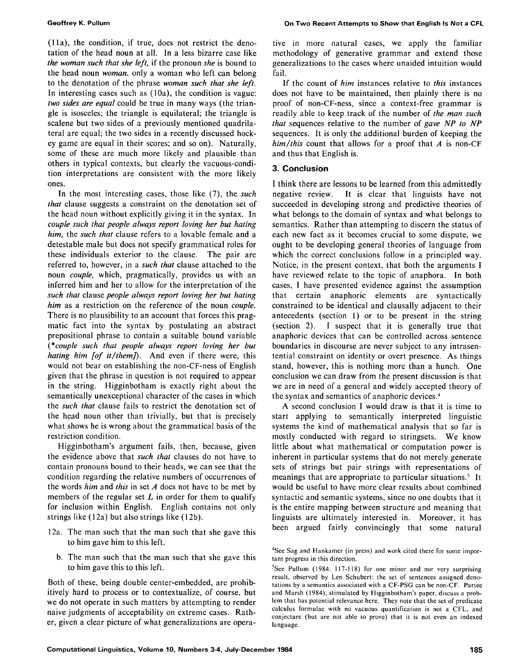(1 la), the condition, if true, does not restrict the denotation of the head noun at all. In a less bizarre case like *the woman such that she left,* if the pronoun *she* is bound to the head noun *woman,* only a woman who left can belong to the denotation of the phrase *woman such that she left.*  In interesting cases such as (10a), the condition is vague: *two sides are equal* could be true in many ways (the triangle is isosceles; the triangle is equilateral; the triangle is scalene but two sides of a previously mentioned quadrilateral are equal; the two sides in a recently discussed hockey game are equal in their scores; and so on). Naturally, some of these are much more likely and plausible than others in typical contexts, but clearly the vacuous-condition interpretations are consistent with the more likely ones.

In the most interesting cases, those like (7), the *such that* clause suggests a constraint on the denotation set of the head noun without explicitly giving it in the syntax. In *couple such that people always report loving her but hating him,* the *such that* clause refers to a lovable female and a detestable male but does not specify grammatical roles for these individuals exterior to the clause. The pair are referred to, however, in a *such that* clause attached to the noun *couple,* which, pragmatically, provides us with an inferred him and her to allow for the interpretation of the *such that* clause *people always report loving her but hating him* as a restriction on the reference of the noun *couple.*  There is no plausibility to an account that forces this pragmatic fact into the syntax by postulating an abstract prepositional phrase to contain a suitable bound variable *(\*couple such that people always report loving her but hating him [of it/them]*). And even if there were, this would not bear on establishing the non-CF-ness of English given that the phrase in question is not required to appear in the string. Higginbotham is exactly right about the semantically unexceptional character of the cases in which the *such that* clause fails to restrict the denotation set of the head noun other than trivially, but that is precisely what shows he is wrong about the grammatical basis of the restriction condition.

Higginbotham's argument fails, then, because, given the evidence above that *such that* clauses do not have to contain pronouns bound to their heads, we can see that the condition regarding the relative numbers of occurrences of the words *him* and *this* in set A does not have to be met by members of the regular set  $L$  in order for them to qualify for inclusion within English. English contains not only strings like (12a) but also strings like (12b).

- 12a. The man such that the man such that she gave this to him gave him to this left.
	- b. The man such that the man such that she gave this to him gave this to this left.

Both of these, being double center-embedded, are prohibitively hard to process or to contextualize, of course, but we do not operate in such matters by attempting to render naive judgments of acceptability on extreme cases. Rather, given a clear picture of what generalizations are operative in more natural cases, we apply the familiar methodology of generative grammar and extend those generalizations to the cases where unaided intuition would fail.

If the count of *him* instances relative to *this* instances does not have to be maintained, then plainly there is no proof of non-CF-ness, since a context-free grammar is readily able to keep track of the number of *the man such that* sequences relative to the number of *gave NP to NP*  sequences. It is only the additional burden of keeping the  $him/this$  count that allows for a proof that  $A$  is non-CF and thus that English is.

## **3. Conclusion**

I think there are lessons to be learned from this admittedly negative review. It is clear that linguists have not succeeded in developing strong and predictive theories of what belongs to the domain of syntax and what belongs to semantics. Rather than attempting to discern the status of each new fact as it becomes crucial to some dispute, we ought to be developing general theories of language from which the correct conclusions follow in a principled way. Notice, in the present context, that both the arguments I have reviewed relate to the topic of anaphora. In both cases, I have presented evidence against the assumption that certain anaphoric elements are syntactically constrained to be identical and clausally adjacent to their antecedents (section 1) or to be present in the string (section 2). I suspect that it is generally true that anaphoric devices that can be controlled across sentence boundaries in discourse are never subject to any intrasentential constraint on identity or overt presence. As things stand, however, this is nothing more than a hunch. One conclusion we can draw from the present discussion is that we are in need of a general and widely accepted theory of the syntax and semantics of anaphoric devices. 4

A second conclusion I would draw is that it is time to start applying to semantically interpreted linguistic systems the kind of mathematical analysis that so far is mostly conducted with regard to stringsets. We know little about what mathematical or computation power is inherent in particular systems that do not merely generate sets of strings but pair strings with representations of meanings that are appropriate to particular situations.<sup>5</sup> It would be useful to have more clear results about combined syntactic and semantic systems, since no one doubts that it is the entire mapping between structure and meaning that linguists are ultimately interested in. Moreover, it has been argued fairly convincingly that some natural

<sup>&</sup>lt;sup>4</sup>See Sag and Hankamer (in press) and work cited there for some important progress in this direction.

 ${}^{5}$ See Pullum (1984: 117-118) for one minor and nor very surprising result, observed by Len Schubert: the set of sentences assigned denotations by a semantics associated with a CF-PSG can be non-CF. Partee and Marsh (1984), stimulated by Higginbotham's paper, discuss a problem that has potential relevance here. They note that the set of predicate calculus formulae with no vacuous quantification is not a CFL, and conjecture (but are not able to prove) that it is not even an indexed language.